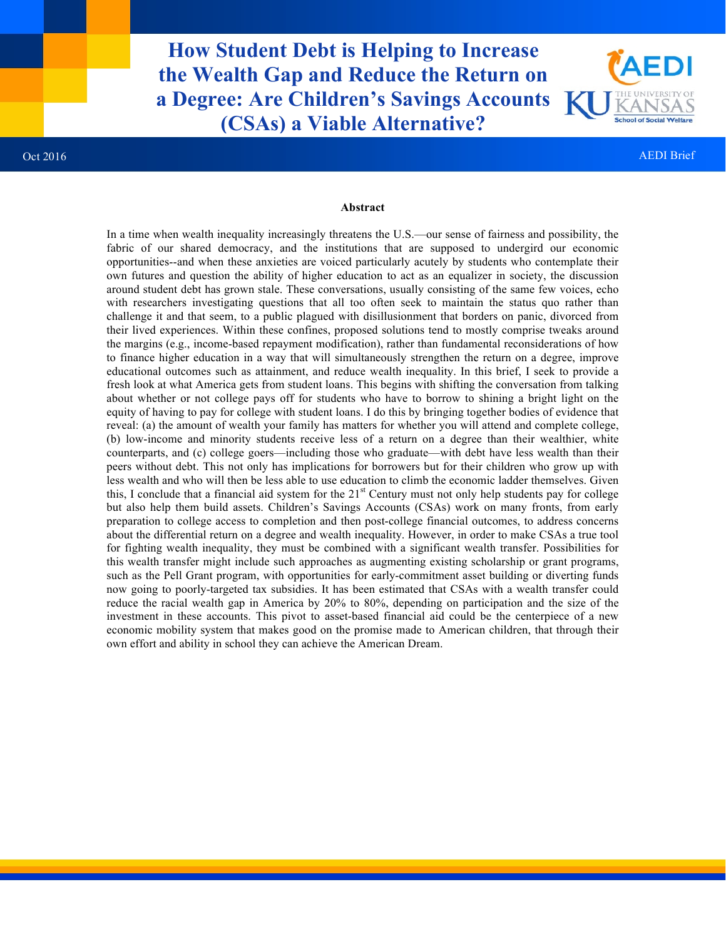**How Student Debt is Helping to Increase the Wealth Gap and Reduce the Return on a Degree: Are Children's Savings Accounts (CSAs) a Viable Alternative?**



#### **Abstract**

In a time when wealth inequality increasingly threatens the U.S.—our sense of fairness and possibility, the fabric of our shared democracy, and the institutions that are supposed to undergird our economic opportunities--and when these anxieties are voiced particularly acutely by students who contemplate their own futures and question the ability of higher education to act as an equalizer in society, the discussion around student debt has grown stale. These conversations, usually consisting of the same few voices, echo with researchers investigating questions that all too often seek to maintain the status quo rather than challenge it and that seem, to a public plagued with disillusionment that borders on panic, divorced from their lived experiences. Within these confines, proposed solutions tend to mostly comprise tweaks around the margins (e.g., income-based repayment modification), rather than fundamental reconsiderations of how to finance higher education in a way that will simultaneously strengthen the return on a degree, improve educational outcomes such as attainment, and reduce wealth inequality. In this brief, I seek to provide a fresh look at what America gets from student loans. This begins with shifting the conversation from talking about whether or not college pays off for students who have to borrow to shining a bright light on the equity of having to pay for college with student loans. I do this by bringing together bodies of evidence that reveal: (a) the amount of wealth your family has matters for whether you will attend and complete college, (b) low-income and minority students receive less of a return on a degree than their wealthier, white counterparts, and (c) college goers—including those who graduate—with debt have less wealth than their peers without debt. This not only has implications for borrowers but for their children who grow up with less wealth and who will then be less able to use education to climb the economic ladder themselves. Given this, I conclude that a financial aid system for the  $21<sup>st</sup>$  Century must not only help students pay for college but also help them build assets. Children's Savings Accounts (CSAs) work on many fronts, from early preparation to college access to completion and then post-college financial outcomes, to address concerns about the differential return on a degree and wealth inequality. However, in order to make CSAs a true tool for fighting wealth inequality, they must be combined with a significant wealth transfer. Possibilities for this wealth transfer might include such approaches as augmenting existing scholarship or grant programs, such as the Pell Grant program, with opportunities for early-commitment asset building or diverting funds now going to poorly-targeted tax subsidies. It has been estimated that CSAs with a wealth transfer could reduce the racial wealth gap in America by 20% to 80%, depending on participation and the size of the investment in these accounts. This pivot to asset-based financial aid could be the centerpiece of a new economic mobility system that makes good on the promise made to American children, that through their own effort and ability in school they can achieve the American Dream.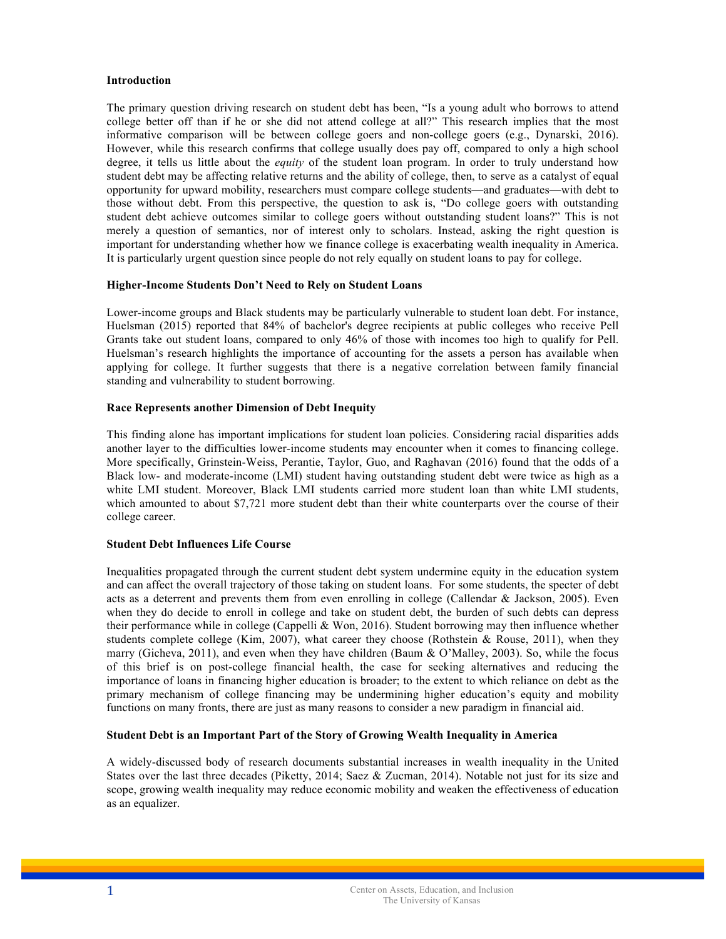# **Introduction**

The primary question driving research on student debt has been, "Is a young adult who borrows to attend college better off than if he or she did not attend college at all?" This research implies that the most informative comparison will be between college goers and non-college goers (e.g., Dynarski, 2016). However, while this research confirms that college usually does pay off, compared to only a high school degree, it tells us little about the *equity* of the student loan program. In order to truly understand how student debt may be affecting relative returns and the ability of college, then, to serve as a catalyst of equal opportunity for upward mobility, researchers must compare college students—and graduates—with debt to those without debt. From this perspective, the question to ask is, "Do college goers with outstanding student debt achieve outcomes similar to college goers without outstanding student loans?" This is not merely a question of semantics, nor of interest only to scholars. Instead, asking the right question is important for understanding whether how we finance college is exacerbating wealth inequality in America. It is particularly urgent question since people do not rely equally on student loans to pay for college.

# **Higher-Income Students Don't Need to Rely on Student Loans**

Lower-income groups and Black students may be particularly vulnerable to student loan debt. For instance, Huelsman (2015) reported that 84% of bachelor's degree recipients at public colleges who receive Pell Grants take out student loans, compared to only 46% of those with incomes too high to qualify for Pell. Huelsman's research highlights the importance of accounting for the assets a person has available when applying for college. It further suggests that there is a negative correlation between family financial standing and vulnerability to student borrowing.

# **Race Represents another Dimension of Debt Inequity**

This finding alone has important implications for student loan policies. Considering racial disparities adds another layer to the difficulties lower-income students may encounter when it comes to financing college. More specifically, Grinstein-Weiss, Perantie, Taylor, Guo, and Raghavan (2016) found that the odds of a Black low- and moderate-income (LMI) student having outstanding student debt were twice as high as a white LMI student. Moreover, Black LMI students carried more student loan than white LMI students, which amounted to about \$7,721 more student debt than their white counterparts over the course of their college career.

# **Student Debt Influences Life Course**

Inequalities propagated through the current student debt system undermine equity in the education system and can affect the overall trajectory of those taking on student loans. For some students, the specter of debt acts as a deterrent and prevents them from even enrolling in college (Callendar & Jackson, 2005). Even when they do decide to enroll in college and take on student debt, the burden of such debts can depress their performance while in college (Cappelli & Won, 2016). Student borrowing may then influence whether students complete college (Kim, 2007), what career they choose (Rothstein & Rouse, 2011), when they marry (Gicheva, 2011), and even when they have children (Baum & O'Malley, 2003). So, while the focus of this brief is on post-college financial health, the case for seeking alternatives and reducing the importance of loans in financing higher education is broader; to the extent to which reliance on debt as the primary mechanism of college financing may be undermining higher education's equity and mobility functions on many fronts, there are just as many reasons to consider a new paradigm in financial aid.

# **Student Debt is an Important Part of the Story of Growing Wealth Inequality in America**

A widely-discussed body of research documents substantial increases in wealth inequality in the United States over the last three decades (Piketty, 2014; Saez & Zucman, 2014). Notable not just for its size and scope, growing wealth inequality may reduce economic mobility and weaken the effectiveness of education as an equalizer.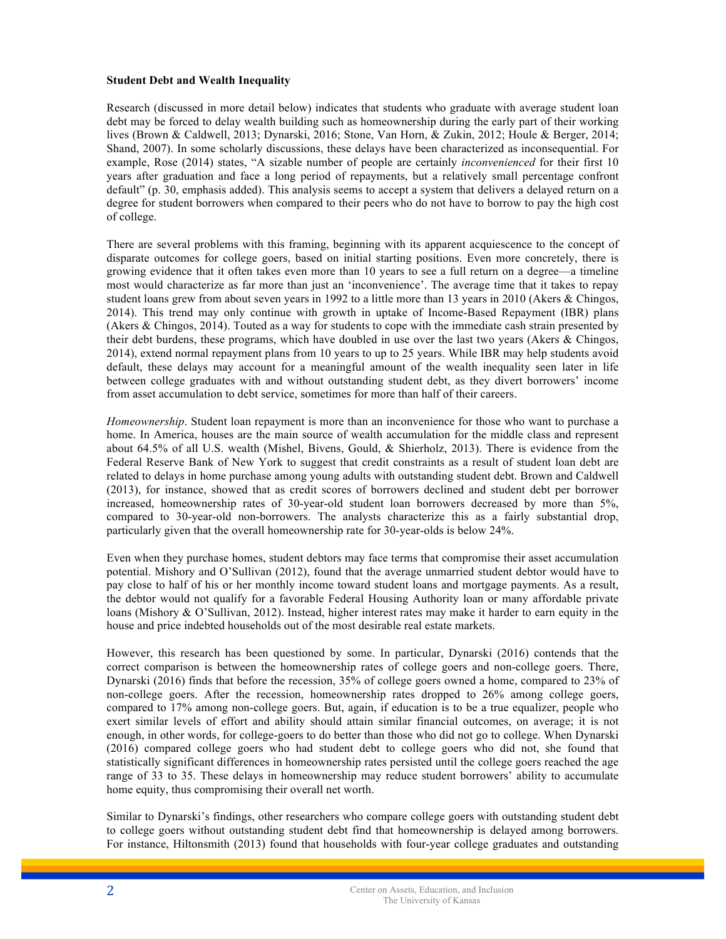### **Student Debt and Wealth Inequality**

Research (discussed in more detail below) indicates that students who graduate with average student loan debt may be forced to delay wealth building such as homeownership during the early part of their working lives (Brown & Caldwell, 2013; Dynarski, 2016; Stone, Van Horn, & Zukin, 2012; Houle & Berger, 2014; Shand, 2007). In some scholarly discussions, these delays have been characterized as inconsequential. For example, Rose (2014) states, "A sizable number of people are certainly *inconvenienced* for their first 10 years after graduation and face a long period of repayments, but a relatively small percentage confront default" (p. 30, emphasis added). This analysis seems to accept a system that delivers a delayed return on a degree for student borrowers when compared to their peers who do not have to borrow to pay the high cost of college.

There are several problems with this framing, beginning with its apparent acquiescence to the concept of disparate outcomes for college goers, based on initial starting positions. Even more concretely, there is growing evidence that it often takes even more than 10 years to see a full return on a degree—a timeline most would characterize as far more than just an 'inconvenience'. The average time that it takes to repay student loans grew from about seven years in 1992 to a little more than 13 years in 2010 (Akers & Chingos, 2014). This trend may only continue with growth in uptake of Income-Based Repayment (IBR) plans (Akers & Chingos, 2014). Touted as a way for students to cope with the immediate cash strain presented by their debt burdens, these programs, which have doubled in use over the last two years (Akers & Chingos, 2014), extend normal repayment plans from 10 years to up to 25 years. While IBR may help students avoid default, these delays may account for a meaningful amount of the wealth inequality seen later in life between college graduates with and without outstanding student debt, as they divert borrowers' income from asset accumulation to debt service, sometimes for more than half of their careers.

*Homeownership*. Student loan repayment is more than an inconvenience for those who want to purchase a home. In America, houses are the main source of wealth accumulation for the middle class and represent about 64.5% of all U.S. wealth (Mishel, Bivens, Gould, & Shierholz, 2013). There is evidence from the Federal Reserve Bank of New York to suggest that credit constraints as a result of student loan debt are related to delays in home purchase among young adults with outstanding student debt. Brown and Caldwell (2013), for instance, showed that as credit scores of borrowers declined and student debt per borrower increased, homeownership rates of 30-year-old student loan borrowers decreased by more than 5%, compared to 30-year-old non-borrowers. The analysts characterize this as a fairly substantial drop, particularly given that the overall homeownership rate for 30-year-olds is below 24%.

Even when they purchase homes, student debtors may face terms that compromise their asset accumulation potential. Mishory and O'Sullivan (2012), found that the average unmarried student debtor would have to pay close to half of his or her monthly income toward student loans and mortgage payments. As a result, the debtor would not qualify for a favorable Federal Housing Authority loan or many affordable private loans (Mishory & O'Sullivan, 2012). Instead, higher interest rates may make it harder to earn equity in the house and price indebted households out of the most desirable real estate markets.

However, this research has been questioned by some. In particular, Dynarski (2016) contends that the correct comparison is between the homeownership rates of college goers and non-college goers. There, Dynarski (2016) finds that before the recession, 35% of college goers owned a home, compared to 23% of non-college goers. After the recession, homeownership rates dropped to 26% among college goers, compared to 17% among non-college goers. But, again, if education is to be a true equalizer, people who exert similar levels of effort and ability should attain similar financial outcomes, on average; it is not enough, in other words, for college-goers to do better than those who did not go to college. When Dynarski (2016) compared college goers who had student debt to college goers who did not, she found that statistically significant differences in homeownership rates persisted until the college goers reached the age range of 33 to 35. These delays in homeownership may reduce student borrowers' ability to accumulate home equity, thus compromising their overall net worth.

Similar to Dynarski's findings, other researchers who compare college goers with outstanding student debt to college goers without outstanding student debt find that homeownership is delayed among borrowers. For instance, Hiltonsmith (2013) found that households with four-year college graduates and outstanding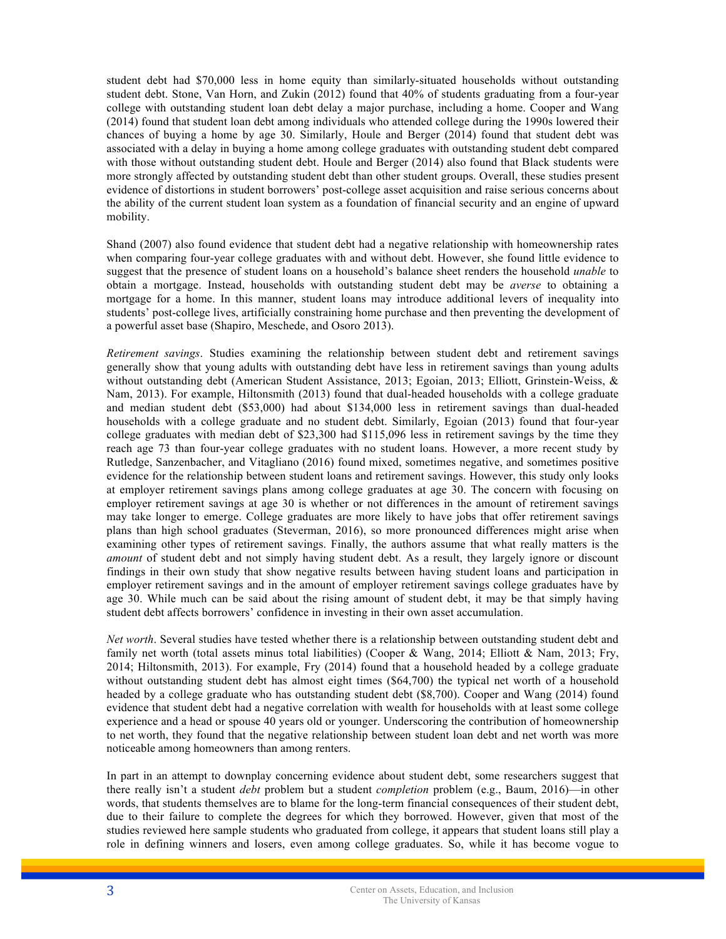student debt had \$70,000 less in home equity than similarly-situated households without outstanding student debt. Stone, Van Horn, and Zukin (2012) found that 40% of students graduating from a four-year college with outstanding student loan debt delay a major purchase, including a home. Cooper and Wang (2014) found that student loan debt among individuals who attended college during the 1990s lowered their chances of buying a home by age 30. Similarly, Houle and Berger (2014) found that student debt was associated with a delay in buying a home among college graduates with outstanding student debt compared with those without outstanding student debt. Houle and Berger (2014) also found that Black students were more strongly affected by outstanding student debt than other student groups. Overall, these studies present evidence of distortions in student borrowers' post-college asset acquisition and raise serious concerns about the ability of the current student loan system as a foundation of financial security and an engine of upward mobility.

Shand (2007) also found evidence that student debt had a negative relationship with homeownership rates when comparing four-year college graduates with and without debt. However, she found little evidence to suggest that the presence of student loans on a household's balance sheet renders the household *unable* to obtain a mortgage. Instead, households with outstanding student debt may be *averse* to obtaining a mortgage for a home. In this manner, student loans may introduce additional levers of inequality into students' post-college lives, artificially constraining home purchase and then preventing the development of a powerful asset base (Shapiro, Meschede, and Osoro 2013).

*Retirement savings*. Studies examining the relationship between student debt and retirement savings generally show that young adults with outstanding debt have less in retirement savings than young adults without outstanding debt (American Student Assistance, 2013; Egoian, 2013; Elliott, Grinstein-Weiss, & Nam, 2013). For example, Hiltonsmith (2013) found that dual-headed households with a college graduate and median student debt (\$53,000) had about \$134,000 less in retirement savings than dual-headed households with a college graduate and no student debt. Similarly, Egoian (2013) found that four-year college graduates with median debt of \$23,300 had \$115,096 less in retirement savings by the time they reach age 73 than four-year college graduates with no student loans. However, a more recent study by Rutledge, Sanzenbacher, and Vitagliano (2016) found mixed, sometimes negative, and sometimes positive evidence for the relationship between student loans and retirement savings. However, this study only looks at employer retirement savings plans among college graduates at age 30. The concern with focusing on employer retirement savings at age 30 is whether or not differences in the amount of retirement savings may take longer to emerge. College graduates are more likely to have jobs that offer retirement savings plans than high school graduates (Steverman, 2016), so more pronounced differences might arise when examining other types of retirement savings. Finally, the authors assume that what really matters is the *amount* of student debt and not simply having student debt. As a result, they largely ignore or discount findings in their own study that show negative results between having student loans and participation in employer retirement savings and in the amount of employer retirement savings college graduates have by age 30. While much can be said about the rising amount of student debt, it may be that simply having student debt affects borrowers' confidence in investing in their own asset accumulation.

*Net worth*. Several studies have tested whether there is a relationship between outstanding student debt and family net worth (total assets minus total liabilities) (Cooper & Wang, 2014; Elliott & Nam, 2013; Fry, 2014; Hiltonsmith, 2013). For example, Fry (2014) found that a household headed by a college graduate without outstanding student debt has almost eight times (\$64,700) the typical net worth of a household headed by a college graduate who has outstanding student debt (\$8,700). Cooper and Wang (2014) found evidence that student debt had a negative correlation with wealth for households with at least some college experience and a head or spouse 40 years old or younger. Underscoring the contribution of homeownership to net worth, they found that the negative relationship between student loan debt and net worth was more noticeable among homeowners than among renters.

In part in an attempt to downplay concerning evidence about student debt, some researchers suggest that there really isn't a student *debt* problem but a student *completion* problem (e.g., Baum, 2016)—in other words, that students themselves are to blame for the long-term financial consequences of their student debt, due to their failure to complete the degrees for which they borrowed. However, given that most of the studies reviewed here sample students who graduated from college, it appears that student loans still play a role in defining winners and losers, even among college graduates. So, while it has become vogue to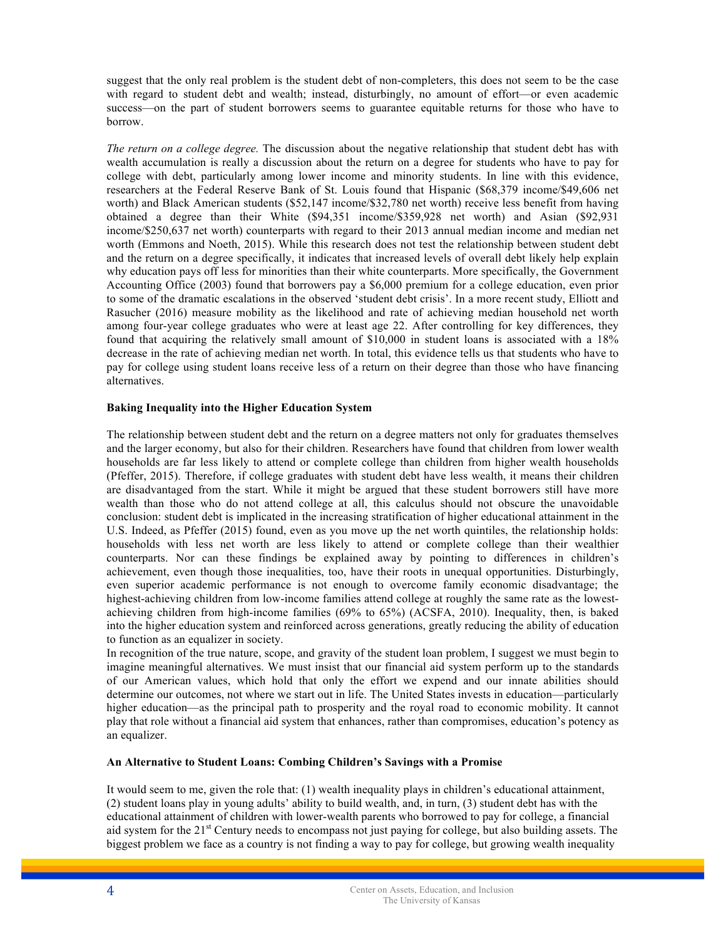suggest that the only real problem is the student debt of non-completers, this does not seem to be the case with regard to student debt and wealth; instead, disturbingly, no amount of effort—or even academic success—on the part of student borrowers seems to guarantee equitable returns for those who have to borrow.

*The return on a college degree.* The discussion about the negative relationship that student debt has with wealth accumulation is really a discussion about the return on a degree for students who have to pay for college with debt, particularly among lower income and minority students. In line with this evidence, researchers at the Federal Reserve Bank of St. Louis found that Hispanic (\$68,379 income/\$49,606 net worth) and Black American students (\$52,147 income/\$32,780 net worth) receive less benefit from having obtained a degree than their White (\$94,351 income/\$359,928 net worth) and Asian (\$92,931 income/\$250,637 net worth) counterparts with regard to their 2013 annual median income and median net worth (Emmons and Noeth, 2015). While this research does not test the relationship between student debt and the return on a degree specifically, it indicates that increased levels of overall debt likely help explain why education pays off less for minorities than their white counterparts. More specifically, the Government Accounting Office (2003) found that borrowers pay a \$6,000 premium for a college education, even prior to some of the dramatic escalations in the observed 'student debt crisis'. In a more recent study, Elliott and Rasucher (2016) measure mobility as the likelihood and rate of achieving median household net worth among four-year college graduates who were at least age 22. After controlling for key differences, they found that acquiring the relatively small amount of \$10,000 in student loans is associated with a 18% decrease in the rate of achieving median net worth. In total, this evidence tells us that students who have to pay for college using student loans receive less of a return on their degree than those who have financing alternatives.

# **Baking Inequality into the Higher Education System**

The relationship between student debt and the return on a degree matters not only for graduates themselves and the larger economy, but also for their children. Researchers have found that children from lower wealth households are far less likely to attend or complete college than children from higher wealth households (Pfeffer, 2015). Therefore, if college graduates with student debt have less wealth, it means their children are disadvantaged from the start. While it might be argued that these student borrowers still have more wealth than those who do not attend college at all, this calculus should not obscure the unavoidable conclusion: student debt is implicated in the increasing stratification of higher educational attainment in the U.S. Indeed, as Pfeffer (2015) found, even as you move up the net worth quintiles, the relationship holds: households with less net worth are less likely to attend or complete college than their wealthier counterparts. Nor can these findings be explained away by pointing to differences in children's achievement, even though those inequalities, too, have their roots in unequal opportunities. Disturbingly, even superior academic performance is not enough to overcome family economic disadvantage; the highest-achieving children from low-income families attend college at roughly the same rate as the lowestachieving children from high-income families (69% to 65%) (ACSFA, 2010). Inequality, then, is baked into the higher education system and reinforced across generations, greatly reducing the ability of education to function as an equalizer in society.

In recognition of the true nature, scope, and gravity of the student loan problem, I suggest we must begin to imagine meaningful alternatives. We must insist that our financial aid system perform up to the standards of our American values, which hold that only the effort we expend and our innate abilities should determine our outcomes, not where we start out in life. The United States invests in education—particularly higher education—as the principal path to prosperity and the royal road to economic mobility. It cannot play that role without a financial aid system that enhances, rather than compromises, education's potency as an equalizer.

### **An Alternative to Student Loans: Combing Children's Savings with a Promise**

It would seem to me, given the role that: (1) wealth inequality plays in children's educational attainment, (2) student loans play in young adults' ability to build wealth, and, in turn, (3) student debt has with the educational attainment of children with lower-wealth parents who borrowed to pay for college, a financial aid system for the  $21<sup>st</sup>$  Century needs to encompass not just paying for college, but also building assets. The biggest problem we face as a country is not finding a way to pay for college, but growing wealth inequality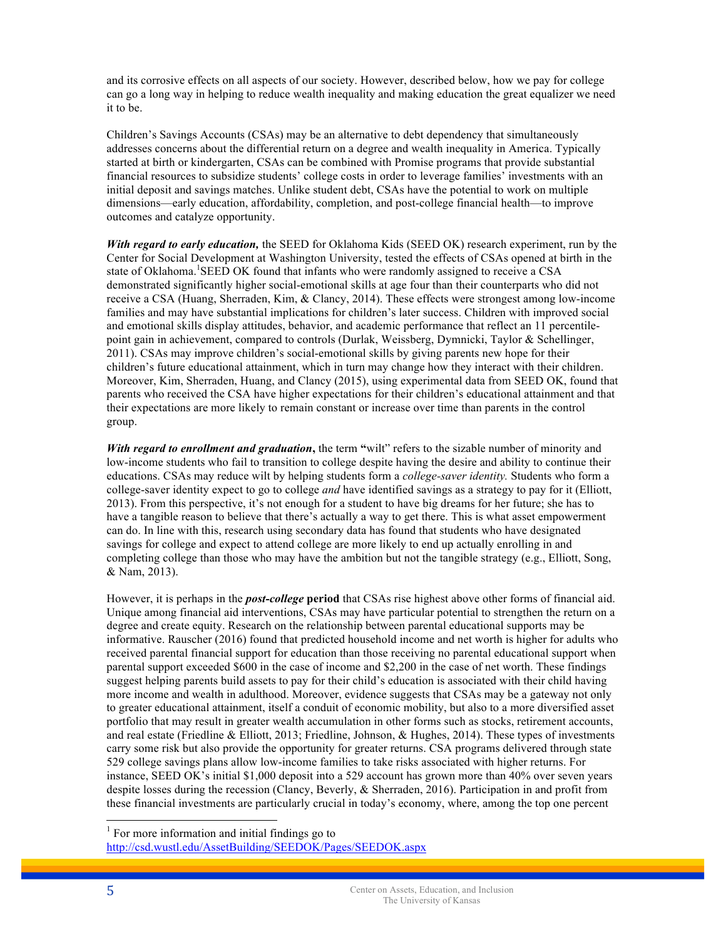and its corrosive effects on all aspects of our society. However, described below, how we pay for college can go a long way in helping to reduce wealth inequality and making education the great equalizer we need it to be.

Children's Savings Accounts (CSAs) may be an alternative to debt dependency that simultaneously addresses concerns about the differential return on a degree and wealth inequality in America. Typically started at birth or kindergarten, CSAs can be combined with Promise programs that provide substantial financial resources to subsidize students' college costs in order to leverage families' investments with an initial deposit and savings matches. Unlike student debt, CSAs have the potential to work on multiple dimensions—early education, affordability, completion, and post-college financial health—to improve outcomes and catalyze opportunity.

*With regard to early education,* the SEED for Oklahoma Kids (SEED OK) research experiment, run by the Center for Social Development at Washington University, tested the effects of CSAs opened at birth in the state of Oklahoma. SEED OK found that infants who were randomly assigned to receive a CSA demonstrated significantly higher social-emotional skills at age four than their counterparts who did not receive a CSA (Huang, Sherraden, Kim, & Clancy, 2014). These effects were strongest among low-income families and may have substantial implications for children's later success. Children with improved social and emotional skills display attitudes, behavior, and academic performance that reflect an 11 percentilepoint gain in achievement, compared to controls (Durlak, Weissberg, Dymnicki, Taylor & Schellinger, 2011). CSAs may improve children's social-emotional skills by giving parents new hope for their children's future educational attainment, which in turn may change how they interact with their children. Moreover, Kim, Sherraden, Huang, and Clancy (2015), using experimental data from SEED OK, found that parents who received the CSA have higher expectations for their children's educational attainment and that their expectations are more likely to remain constant or increase over time than parents in the control group.

*With regard to enrollment and graduation***,** the term **"**wilt" refers to the sizable number of minority and low-income students who fail to transition to college despite having the desire and ability to continue their educations. CSAs may reduce wilt by helping students form a *college-saver identity.* Students who form a college-saver identity expect to go to college *and* have identified savings as a strategy to pay for it (Elliott, 2013). From this perspective, it's not enough for a student to have big dreams for her future; she has to have a tangible reason to believe that there's actually a way to get there. This is what asset empowerment can do. In line with this, research using secondary data has found that students who have designated savings for college and expect to attend college are more likely to end up actually enrolling in and completing college than those who may have the ambition but not the tangible strategy (e.g., Elliott, Song, & Nam, 2013).

However, it is perhaps in the *post-college* **period** that CSAs rise highest above other forms of financial aid. Unique among financial aid interventions, CSAs may have particular potential to strengthen the return on a degree and create equity. Research on the relationship between parental educational supports may be informative. Rauscher (2016) found that predicted household income and net worth is higher for adults who received parental financial support for education than those receiving no parental educational support when parental support exceeded \$600 in the case of income and \$2,200 in the case of net worth. These findings suggest helping parents build assets to pay for their child's education is associated with their child having more income and wealth in adulthood. Moreover, evidence suggests that CSAs may be a gateway not only to greater educational attainment, itself a conduit of economic mobility, but also to a more diversified asset portfolio that may result in greater wealth accumulation in other forms such as stocks, retirement accounts, and real estate (Friedline & Elliott, 2013; Friedline, Johnson, & Hughes, 2014). These types of investments carry some risk but also provide the opportunity for greater returns. CSA programs delivered through state 529 college savings plans allow low-income families to take risks associated with higher returns. For instance, SEED OK's initial \$1,000 deposit into a 529 account has grown more than 40% over seven years despite losses during the recession (Clancy, Beverly, & Sherraden, 2016). Participation in and profit from these financial investments are particularly crucial in today's economy, where, among the top one percent

 $<sup>1</sup>$  For more information and initial findings go to</sup> http://csd.wustl.edu/AssetBuilding/SEEDOK/Pages/SEEDOK.aspx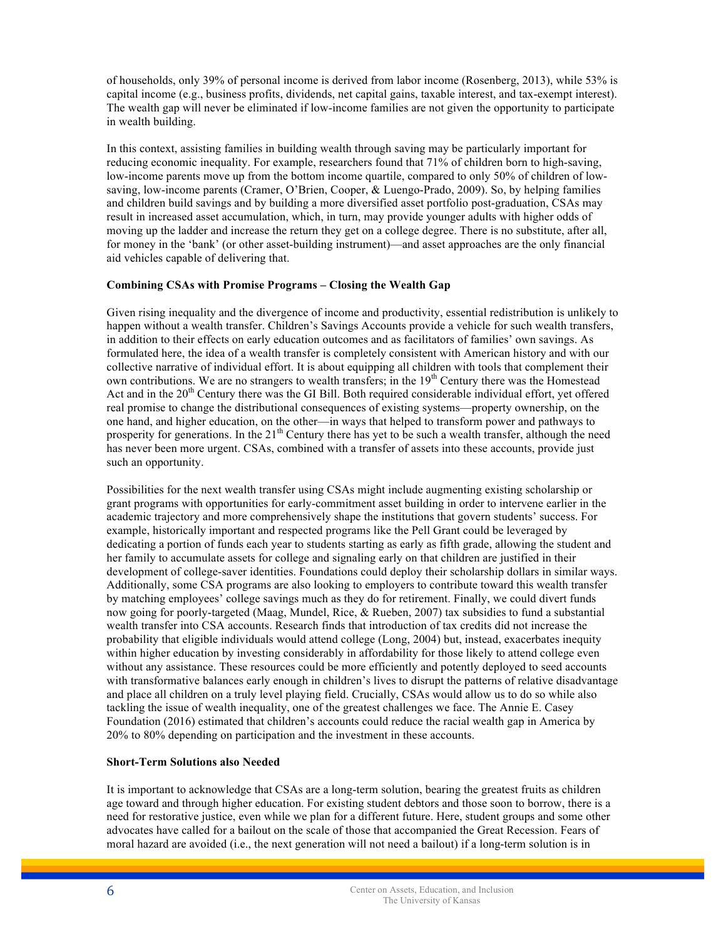of households, only 39% of personal income is derived from labor income (Rosenberg, 2013), while 53% is capital income (e.g., business profits, dividends, net capital gains, taxable interest, and tax-exempt interest). The wealth gap will never be eliminated if low-income families are not given the opportunity to participate in wealth building.

In this context, assisting families in building wealth through saving may be particularly important for reducing economic inequality. For example, researchers found that 71% of children born to high-saving, low-income parents move up from the bottom income quartile, compared to only 50% of children of lowsaving, low-income parents (Cramer, O'Brien, Cooper, & Luengo-Prado, 2009). So, by helping families and children build savings and by building a more diversified asset portfolio post-graduation, CSAs may result in increased asset accumulation, which, in turn, may provide younger adults with higher odds of moving up the ladder and increase the return they get on a college degree. There is no substitute, after all, for money in the 'bank' (or other asset-building instrument)—and asset approaches are the only financial aid vehicles capable of delivering that.

# **Combining CSAs with Promise Programs – Closing the Wealth Gap**

Given rising inequality and the divergence of income and productivity, essential redistribution is unlikely to happen without a wealth transfer. Children's Savings Accounts provide a vehicle for such wealth transfers, in addition to their effects on early education outcomes and as facilitators of families' own savings. As formulated here, the idea of a wealth transfer is completely consistent with American history and with our collective narrative of individual effort. It is about equipping all children with tools that complement their own contributions. We are no strangers to wealth transfers; in the  $19<sup>th</sup>$  Century there was the Homestead Act and in the  $20<sup>th</sup>$  Century there was the GI Bill. Both required considerable individual effort, yet offered real promise to change the distributional consequences of existing systems—property ownership, on the one hand, and higher education, on the other—in ways that helped to transform power and pathways to prosperity for generations. In the  $21<sup>th</sup>$  Century there has yet to be such a wealth transfer, although the need has never been more urgent. CSAs, combined with a transfer of assets into these accounts, provide just such an opportunity.

Possibilities for the next wealth transfer using CSAs might include augmenting existing scholarship or grant programs with opportunities for early-commitment asset building in order to intervene earlier in the academic trajectory and more comprehensively shape the institutions that govern students' success. For example, historically important and respected programs like the Pell Grant could be leveraged by dedicating a portion of funds each year to students starting as early as fifth grade, allowing the student and her family to accumulate assets for college and signaling early on that children are justified in their development of college-saver identities. Foundations could deploy their scholarship dollars in similar ways. Additionally, some CSA programs are also looking to employers to contribute toward this wealth transfer by matching employees' college savings much as they do for retirement. Finally, we could divert funds now going for poorly-targeted (Maag, Mundel, Rice, & Rueben, 2007) tax subsidies to fund a substantial wealth transfer into CSA accounts. Research finds that introduction of tax credits did not increase the probability that eligible individuals would attend college (Long, 2004) but, instead, exacerbates inequity within higher education by investing considerably in affordability for those likely to attend college even without any assistance. These resources could be more efficiently and potently deployed to seed accounts with transformative balances early enough in children's lives to disrupt the patterns of relative disadvantage and place all children on a truly level playing field. Crucially, CSAs would allow us to do so while also tackling the issue of wealth inequality, one of the greatest challenges we face. The Annie E. Casey Foundation (2016) estimated that children's accounts could reduce the racial wealth gap in America by 20% to 80% depending on participation and the investment in these accounts.

# **Short-Term Solutions also Needed**

It is important to acknowledge that CSAs are a long-term solution, bearing the greatest fruits as children age toward and through higher education. For existing student debtors and those soon to borrow, there is a need for restorative justice, even while we plan for a different future. Here, student groups and some other advocates have called for a bailout on the scale of those that accompanied the Great Recession. Fears of moral hazard are avoided (i.e., the next generation will not need a bailout) if a long-term solution is in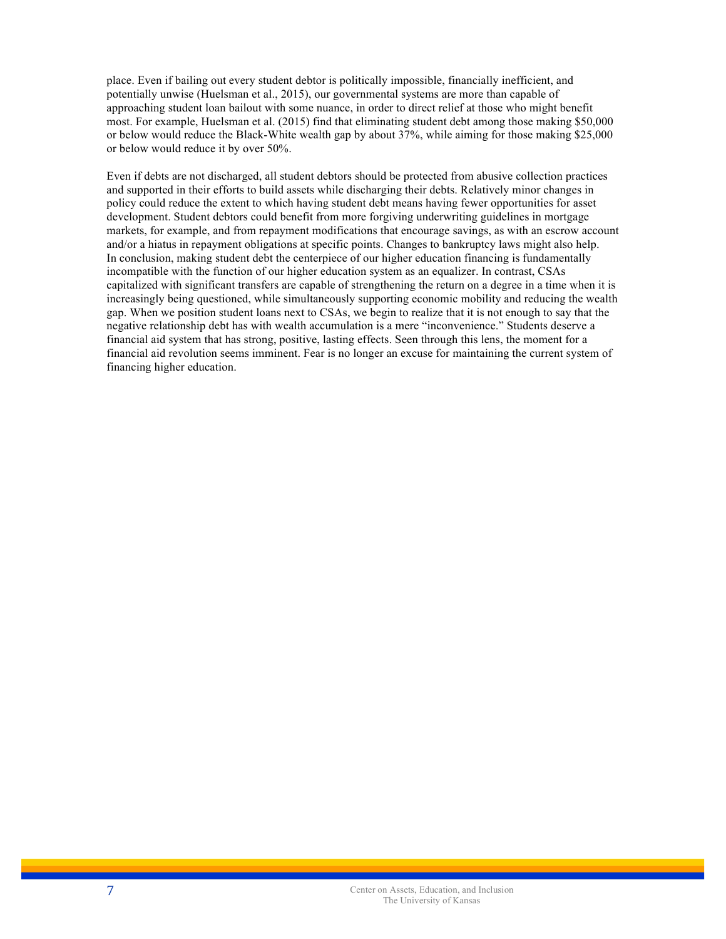place. Even if bailing out every student debtor is politically impossible, financially inefficient, and potentially unwise (Huelsman et al., 2015), our governmental systems are more than capable of approaching student loan bailout with some nuance, in order to direct relief at those who might benefit most. For example, Huelsman et al. (2015) find that eliminating student debt among those making \$50,000 or below would reduce the Black-White wealth gap by about 37%, while aiming for those making \$25,000 or below would reduce it by over 50%.

Even if debts are not discharged, all student debtors should be protected from abusive collection practices and supported in their efforts to build assets while discharging their debts. Relatively minor changes in policy could reduce the extent to which having student debt means having fewer opportunities for asset development. Student debtors could benefit from more forgiving underwriting guidelines in mortgage markets, for example, and from repayment modifications that encourage savings, as with an escrow account and/or a hiatus in repayment obligations at specific points. Changes to bankruptcy laws might also help. In conclusion, making student debt the centerpiece of our higher education financing is fundamentally incompatible with the function of our higher education system as an equalizer. In contrast, CSAs capitalized with significant transfers are capable of strengthening the return on a degree in a time when it is increasingly being questioned, while simultaneously supporting economic mobility and reducing the wealth gap. When we position student loans next to CSAs, we begin to realize that it is not enough to say that the negative relationship debt has with wealth accumulation is a mere "inconvenience." Students deserve a financial aid system that has strong, positive, lasting effects. Seen through this lens, the moment for a financial aid revolution seems imminent. Fear is no longer an excuse for maintaining the current system of financing higher education.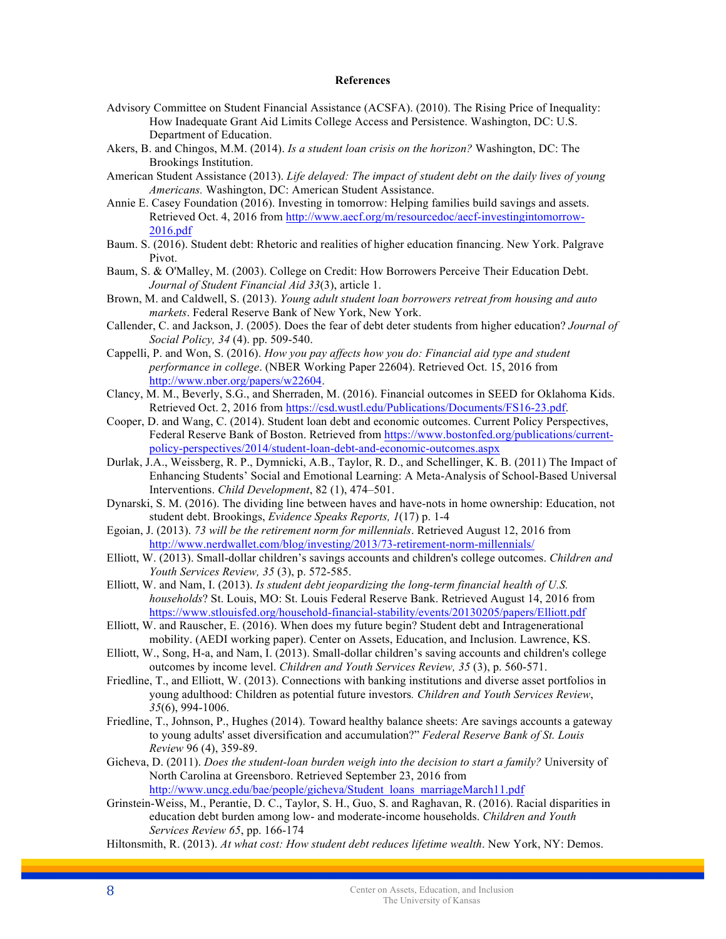#### **References**

- Advisory Committee on Student Financial Assistance (ACSFA). (2010). The Rising Price of Inequality: How Inadequate Grant Aid Limits College Access and Persistence. Washington, DC: U.S. Department of Education.
- Akers, B. and Chingos, M.M. (2014). *Is a student loan crisis on the horizon?* Washington, DC: The Brookings Institution.
- American Student Assistance (2013). *Life delayed: The impact of student debt on the daily lives of young Americans.* Washington, DC: American Student Assistance.
- Annie E. Casey Foundation (2016). Investing in tomorrow: Helping families build savings and assets. Retrieved Oct. 4, 2016 from http://www.aecf.org/m/resourcedoc/aecf-investingintomorrow-2016.pdf
- Baum. S. (2016). Student debt: Rhetoric and realities of higher education financing. New York. Palgrave Pivot.
- Baum, S. & O'Malley, M. (2003). College on Credit: How Borrowers Perceive Their Education Debt. *Journal of Student Financial Aid 33*(3), article 1.
- Brown, M. and Caldwell, S. (2013). *Young adult student loan borrowers retreat from housing and auto markets*. Federal Reserve Bank of New York, New York.
- Callender, C. and Jackson, J. (2005). Does the fear of debt deter students from higher education? *Journal of Social Policy, 34* (4). pp. 509-540.
- Cappelli, P. and Won, S. (2016). *How you pay affects how you do: Financial aid type and student performance in college*. (NBER Working Paper 22604). Retrieved Oct. 15, 2016 from http://www.nber.org/papers/w22604.
- Clancy, M. M., Beverly, S.G., and Sherraden, M. (2016). Financial outcomes in SEED for Oklahoma Kids. Retrieved Oct. 2, 2016 from https://csd.wustl.edu/Publications/Documents/FS16-23.pdf.
- Cooper, D. and Wang, C. (2014). Student loan debt and economic outcomes. Current Policy Perspectives, Federal Reserve Bank of Boston. Retrieved from https://www.bostonfed.org/publications/currentpolicy-perspectives/2014/student-loan-debt-and-economic-outcomes.aspx
- Durlak, J.A., Weissberg, R. P., Dymnicki, A.B., Taylor, R. D., and Schellinger, K. B. (2011) The Impact of Enhancing Students' Social and Emotional Learning: A Meta-Analysis of School-Based Universal Interventions. *Child Development*, 82 (1), 474–501.
- Dynarski, S. M. (2016). The dividing line between haves and have-nots in home ownership: Education, not student debt. Brookings, *Evidence Speaks Reports, 1*(17) p. 1-4
- Egoian, J. (2013). *73 will be the retirement norm for millennials*. Retrieved August 12, 2016 from http://www.nerdwallet.com/blog/investing/2013/73-retirement-norm-millennials/
- Elliott, W. (2013). Small-dollar children's savings accounts and children's college outcomes. *Children and Youth Services Review, 35* (3), p. 572-585.
- Elliott, W. and Nam, I. (2013). *Is student debt jeopardizing the long-term financial health of U.S. households*? St. Louis, MO: St. Louis Federal Reserve Bank. Retrieved August 14, 2016 from https://www.stlouisfed.org/household-financial-stability/events/20130205/papers/Elliott.pdf
- Elliott, W. and Rauscher, E. (2016). When does my future begin? Student debt and Intragenerational mobility. (AEDI working paper). Center on Assets, Education, and Inclusion. Lawrence, KS.
- Elliott, W., Song, H-a, and Nam, I. (2013). Small-dollar children's saving accounts and children's college outcomes by income level. *Children and Youth Services Review, 35* (3), p. 560-571.
- Friedline, T., and Elliott, W. (2013). Connections with banking institutions and diverse asset portfolios in young adulthood: Children as potential future investors*. Children and Youth Services Review*, *35*(6), 994-1006.
- Friedline, T., Johnson, P., Hughes (2014). Toward healthy balance sheets: Are savings accounts a gateway to young adults' asset diversification and accumulation?" *Federal Reserve Bank of St. Louis Review* 96 (4), 359-89.
- Gicheva, D. (2011). *Does the student-loan burden weigh into the decision to start a family?* University of North Carolina at Greensboro. Retrieved September 23, 2016 from http://www.uncg.edu/bae/people/gicheva/Student\_loans\_marriageMarch11.pdf
- Grinstein-Weiss, M., Perantie, D. C., Taylor, S. H., Guo, S. and Raghavan, R. (2016). Racial disparities in education debt burden among low- and moderate-income households. *Children and Youth Services Review 65*, pp. 166-174
- Hiltonsmith, R. (2013). *At what cost: How student debt reduces lifetime wealth*. New York, NY: Demos.